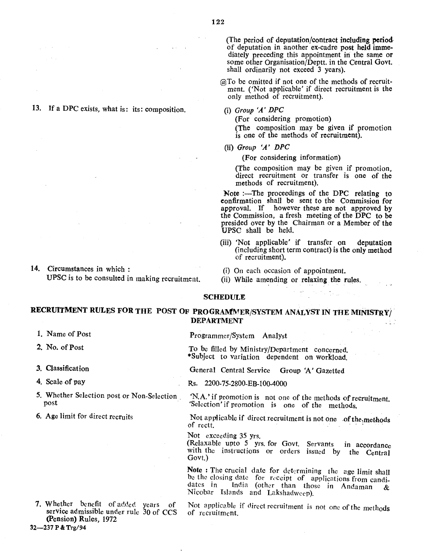13. If a DPC exists, what is: its: composition.

14. Circumstances in which: UPSC is to be consulted in making recruitment. (The period of deputation/contract including period of deputation in another ex-cadre post held immediately preceding this appointment in the same or some other Organisation/Deptt. in the Central Govt. shall ordinarily not exceed 3 years).

@To be omitted if not one of the methods of recruitment. ('Not applicable' if direct recruitment is the only method of recruitment).

(i) *Group 'A' DPC*

(For considering promotion) (The composition may be given if promotion is one of the methods of recruitment).

(Ii) *Group 'A' DPC*

(For considering information)

(The composition may be given if promotion, direct recruitment or transfer is one of the methods of recruitment).

Note :-The proceedings of the DPC relating to eonfirmation shall be sent to the Commission for approval. If however these are not approved by the Commission, a fresh meeting of the DPC to be presided over by the Chairman or a Member of the UPSC shall be held.

- (iii) 'Not applicable' if transfer on deputation (including short term contract) is the only method of recruitment).
- (i) On each occasion of appointment.
- (ii) While amending or relaxing the rules.

# SCHEDULE

RECRUITMENT RULES FOR THE POST OF PROGRAMMER/SYSTEM ANALYST IN THE MINISTRY/ DEPARTMENT

- 1. Name of Post
- 2. No. of Post
- 3. Classification

4. Scale of pay

- 5. Whether Selection post or Non-Selection. post
- 6. Age limit for direct recruits

. Whether benefit of added years of service admissible under rule 30 of CCS (Pension) Rules, 1972

Programmer/System AnalYst

To be filled by Ministry/Department concerned. \*Subject to variation dependent on workload.

General Central Service Group 'A' Gazetted

Rs. 2200-75-2800-EB-100-4000

'N.A.' if promotion is not one of the methods of recruitment. 'Selection' if promotion is one of the methods.

Not applicable if direct recruitment is not one of the, methods of rectt.

Not exceeding 35 yrs.

(Relaxable upto 5 yrs. for Govt. Servants in accordance with the instructions or orders issued by the Central Govt.)

Note : The crucial date for determining the age limit shall be the closing date for receipt of applications from candidates in India (other than those in Andaman & Nicobar Islands and Lakshadweep).

Not applicable if direct recruitment is not one of the methods of recruitment.

32-237 P & Trg/94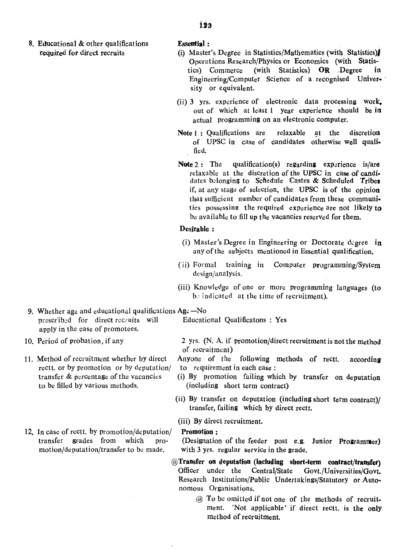- 8. Educational & other qualifications required for direct recruits
- 123

#### Essential:

- (i) Master's Degree in Statistics/Mathematics (with Statistics}1 Operations Research/Physics or Economics (with Statistics) Commerce (with Statistics) OR Degree in Engineering/Computer Science of a recognised University or equivalent.
- (ii) 3 yrs. experience of electronic data processing work. out of which at least 1 year experience should be in actual programming on an electronic computer.
- Note 1: Qualifications are relaxable at the discretion of UPSC in case of candidates otherwise well quali. fied.
- Note  $2:$  The qualification(s) regarding experience is/are relaxa ble at the discretion ef the UPSC in case of candi. dates belonging to Schedule Castes & Scheduled Tribes if, at any stage of selection, the UPSC is of the opinion that sufficient number of candidates from these communities possessing the required exPerience are not likely to be available to fill up the vacancies reserved for them.

## Desirable:

- (i) Master's Degree in Engineering or Doctorate degree in any of the subjects mentioned in Essential qualification.
- (ii) Formal training in Computer programming/SYstem design/analysis.
- (iii) Knowledge of one or more programming languages (to b; indicated at the time of recruitment).
- 9. Whether age and educational qualifications  $Age No$ prescribed for direct recruits will Educational Qualificatons : Yes apply in the case of promotees.
- 10. Period of probation, if any
- 11. Method of recruitment whether by direct rectt. or by promotion or by deputation/ transfer & percentage of the vacancies to be filled by various methods.
- 12. In case of rectt. by promotion/deputation/ transfer grades from which promotion/deputation/transfer to be made.

- 2 Yrs. (N. A. if promotion/direct recruitment is not the method of recruitment)
- Anyone of the following methods of rectt. according to requirement in each case:
- (i) By promotion failing which by transfer on deputation (including short term contract)
- (ii) By transfer on deputation (including short term contract)/ transfer, failing which by direct rectt.
- (iii) By direct recruitment.

### Promotion:

(Designation of the feeder post e.g. Junior Programmer) with 3 yrs. regular service in the grade.

- @Transfer on deputation (including short-term contract/transfer) Officer under the Central/State Govt./Universities/Govt. Research Institutions/Public Undertakings/Statutory or Autonomous Organisations.
	- @ To be omitted if not one of the methods of recruit. ment. 'Not applicable' if direct rectt, is the only method of recruitment.